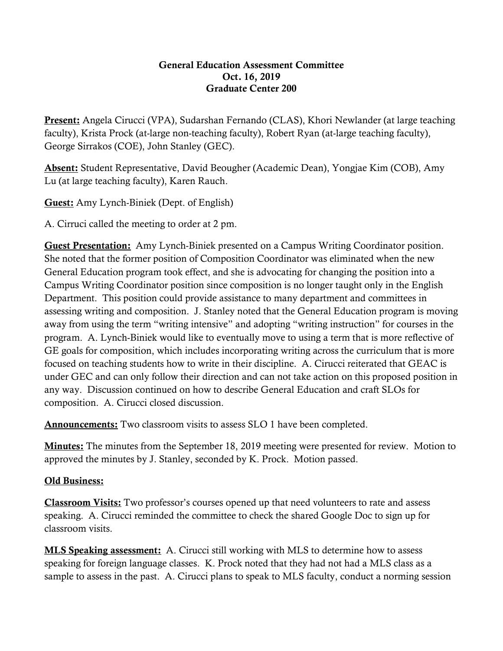## General Education Assessment Committee Oct. 16, 2019 Graduate Center 200

**Present:** Angela Cirucci (VPA), Sudarshan Fernando (CLAS), Khori Newlander (at large teaching faculty), Krista Prock (at-large non-teaching faculty), Robert Ryan (at-large teaching faculty), George Sirrakos (COE), John Stanley (GEC).

Absent: Student Representative, David Beougher (Academic Dean), Yongjae Kim (COB), Amy Lu (at large teaching faculty), Karen Rauch.

Guest: Amy Lynch-Biniek (Dept. of English)

A. Cirruci called the meeting to order at 2 pm.

Guest Presentation: Amy Lynch-Biniek presented on a Campus Writing Coordinator position. She noted that the former position of Composition Coordinator was eliminated when the new General Education program took effect, and she is advocating for changing the position into a Campus Writing Coordinator position since composition is no longer taught only in the English Department. This position could provide assistance to many department and committees in assessing writing and composition. J. Stanley noted that the General Education program is moving away from using the term "writing intensive" and adopting "writing instruction" for courses in the program. A. Lynch-Biniek would like to eventually move to using a term that is more reflective of GE goals for composition, which includes incorporating writing across the curriculum that is more focused on teaching students how to write in their discipline. A. Cirucci reiterated that GEAC is under GEC and can only follow their direction and can not take action on this proposed position in any way. Discussion continued on how to describe General Education and craft SLOs for composition. A. Cirucci closed discussion.

Announcements: Two classroom visits to assess SLO 1 have been completed.

**Minutes:** The minutes from the September 18, 2019 meeting were presented for review. Motion to approved the minutes by J. Stanley, seconded by K. Prock. Motion passed.

## Old Business:

Classroom Visits: Two professor's courses opened up that need volunteers to rate and assess speaking. A. Cirucci reminded the committee to check the shared Google Doc to sign up for classroom visits.

MLS Speaking assessment: A. Cirucci still working with MLS to determine how to assess speaking for foreign language classes. K. Prock noted that they had not had a MLS class as a sample to assess in the past. A. Cirucci plans to speak to MLS faculty, conduct a norming session